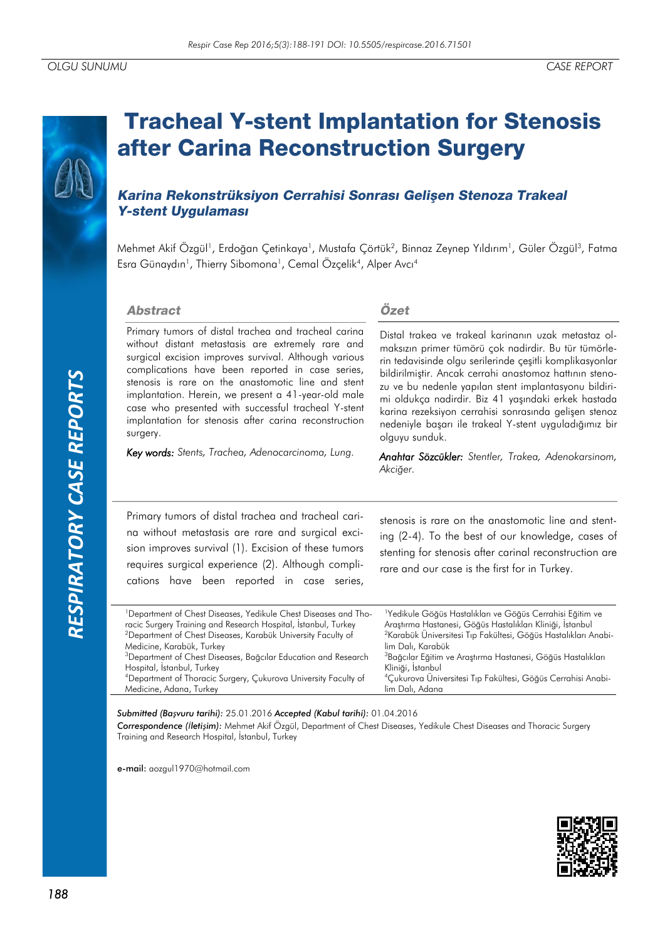# **Tracheal Y-stent Implantation for Stenosis** after Carina Reconstruction Surgery

## Karina Rekonstrüksiyon Cerrahisi Sonrası Gelişen Stenoza Trakeal **Y-stent Uygulaması**

Mehmet Akif Özgül<sup>1</sup>, Erdoğan Çetinkaya<sup>1</sup>, Mustafa Çörtük<sup>2</sup>, Binnaz Zeynep Yıldırım<sup>1</sup>, Güler Özgül<sup>3</sup>, Fatma Esra Günaydın<sup>1</sup>, Thierry Sibomona<sup>1</sup>, Cemal Özçelik<sup>4</sup>, Alper Avcı<sup>4</sup>

#### **Abstract**

Primary tumors of distal trachea and tracheal carina without distant metastasis are extremely rare and surgical excision improves survival. Although various complications have been reported in case series, stenosis is rare on the anastomotic line and stent implantation. Herein, we present a 41-year-old male case who presented with successful tracheal Y-stent implantation for stenosis after carina reconstruction surgery.

*Key words: Stents, Trachea, Adenocarcinoma, Lung.*

#### Özet

Distal trakea ve trakeal karinanın uzak metastaz olmaksızın primer tümörü çok nadirdir. Bu tür tümörlerin tedavisinde olgu serilerinde çeşitli komplikasyonlar bildirilmiştir. Ancak cerrahi anastomoz hattının stenozu ve bu nedenle yapılan stent implantasyonu bildirimi oldukça nadirdir. Biz 41 yaşındaki erkek hastada karina rezeksiyon cerrahisi sonrasında gelişen stenoz nedeniyle başarı ile trakeal Y-stent uyguladığımız bir olguyu sunduk.

*Anahtar Sözcükler: Stentler, Trakea, Adenokarsinom, Akciğer.*

Primary tumors of distal trachea and tracheal carina without metastasis are rare and surgical excision improves survival (1). Excision of these tumors requires surgical experience (2). Although complications have been reported in case series,

stenosis is rare on the anastomotic line and stenting (2-4). To the best of our knowledge, cases of stenting for stenosis after carinal reconstruction are rare and our case is the first for in Turkey.

| <sup>1</sup> Department of Chest Diseases, Yedikule Chest Diseases and Tho- | <sup>1</sup> Yedikule Göğüs Hastalıkları ve Göğüs Cerrahisi Eğitim ve      |
|-----------------------------------------------------------------------------|----------------------------------------------------------------------------|
| racic Surgery Training and Research Hospital, Istanbul, Turkey              | Araştırma Hastanesi, Göğüs Hastalıkları Kliniği, İstanbul                  |
| <sup>2</sup> Department of Chest Diseases, Karabük University Faculty of    | <sup>2</sup> Karabük Üniversitesi Tıp Fakültesi, Göğüs Hastalıkları Anabi- |
| Medicine, Karabük, Turkey                                                   | lim Dalı, Karabük                                                          |
| <sup>3</sup> Department of Chest Diseases, Bağcılar Education and Research  | <sup>3</sup> Bağcılar Eğitim ve Araştırma Hastanesi, Göğüs Hastalıkları    |
| Hospital, Istanbul, Turkey                                                  | Kliniği, Istanbul                                                          |
| <sup>4</sup> Department of Thoracic Surgery, Cukurova University Faculty of | <sup>4</sup> Cukurova Üniversitesi Tıp Fakültesi, Göğüs Cerrahisi Anabi-   |
| Medicine, Adana, Turkey                                                     | lim Dalı, Adana                                                            |

#### *Submitted (Başvuru tarihi):* 25.01.2016 *Accepted (Kabul tarihi):* 01.04.2016

*Correspondence (İletişim):* Mehmet Akif Özgül, Department of Chest Diseases, Yedikule Chest Diseases and Thoracic Surgery Training and Research Hospital, İstanbul, Turkey

e-mail: aozgul1970@hotmail.com

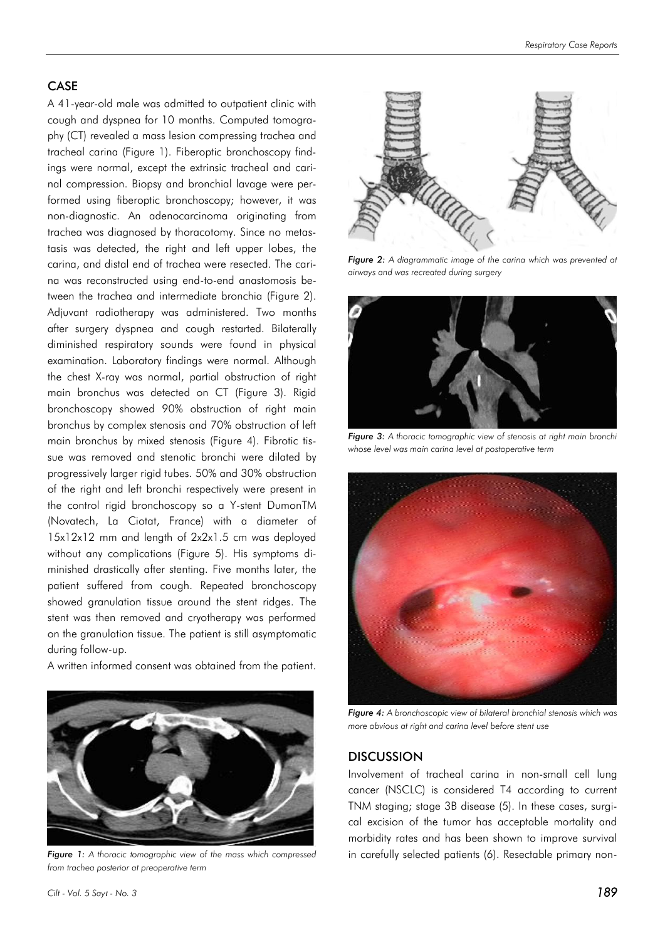### CASE

A 41-year-old male was admitted to outpatient clinic with cough and dyspnea for 10 months. Computed tomography (CT) revealed a mass lesion compressing trachea and tracheal carina (Figure 1). Fiberoptic bronchoscopy findings were normal, except the extrinsic tracheal and carinal compression. Biopsy and bronchial lavage were performed using fiberoptic bronchoscopy; however, it was non-diagnostic. An adenocarcinoma originating from trachea was diagnosed by thoracotomy. Since no metastasis was detected, the right and left upper lobes, the carina, and distal end of trachea were resected. The carina was reconstructed using end-to-end anastomosis between the trachea and intermediate bronchia (Figure 2). Adjuvant radiotherapy was administered. Two months after surgery dyspnea and cough restarted. Bilaterally diminished respiratory sounds were found in physical examination. Laboratory findings were normal. Although the chest X-ray was normal, partial obstruction of right main bronchus was detected on CT (Figure 3). Rigid bronchoscopy showed 90% obstruction of right main bronchus by complex stenosis and 70% obstruction of left main bronchus by mixed stenosis (Figure 4). Fibrotic tissue was removed and stenotic bronchi were dilated by progressively larger rigid tubes. 50% and 30% obstruction of the right and left bronchi respectively were present in the control rigid bronchoscopy so a Y-stent DumonTM (Novatech, La Ciotat, France) with a diameter of 15x12x12 mm and length of 2x2x1.5 cm was deployed without any complications (Figure 5). His symptoms diminished drastically after stenting. Five months later, the patient suffered from cough. Repeated bronchoscopy showed granulation tissue around the stent ridges. The stent was then removed and cryotherapy was performed on the granulation tissue. The patient is still asymptomatic during follow-up.

A written informed consent was obtained from the patient.



*Figure 1: A thoracic tomographic view of the mass which compressed from trachea posterior at preoperative term*



*Figure 2: A diagrammatic image of the carina which was prevented at airways and was recreated during surgery*



*Figure 3: A thoracic tomographic view of stenosis at right main bronchi whose level was main carina level at postoperative term*



*Figure 4: A bronchoscopic view of bilateral bronchial stenosis which was more obvious at right and carina level before stent use*

#### DISCUSSION

Involvement of tracheal carina in non-small cell lung cancer (NSCLC) is considered T4 according to current TNM staging; stage 3B disease (5). In these cases, surgical excision of the tumor has acceptable mortality and morbidity rates and has been shown to improve survival in carefully selected patients (6). Resectable primary non-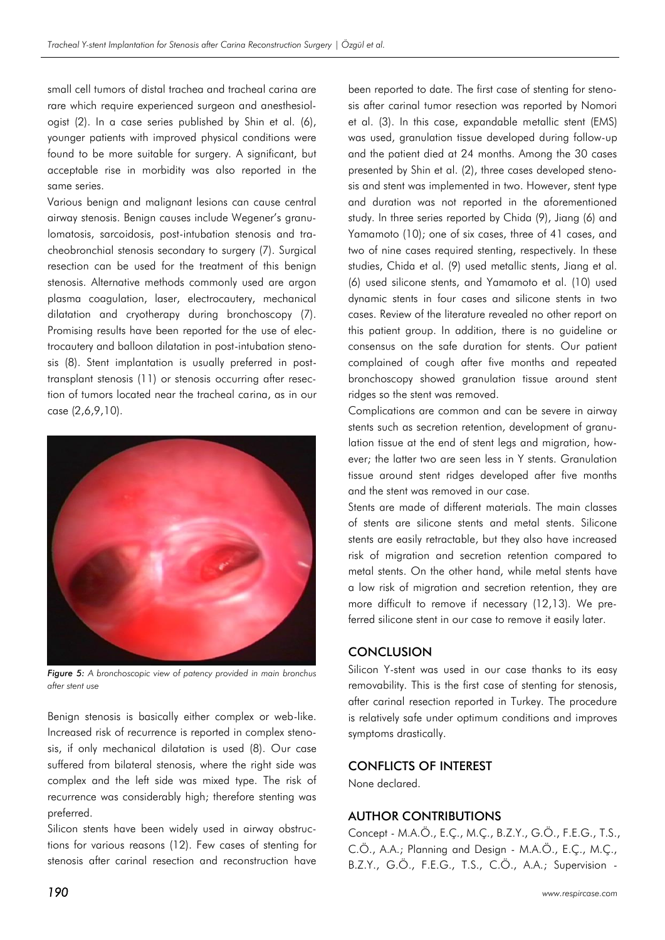small cell tumors of distal trachea and tracheal carina are rare which require experienced surgeon and anesthesiologist (2). In a case series published by Shin et al. (6), younger patients with improved physical conditions were found to be more suitable for surgery. A significant, but acceptable rise in morbidity was also reported in the same series.

Various benign and malignant lesions can cause central airway stenosis. Benign causes include Wegener's granulomatosis, sarcoidosis, post-intubation stenosis and tracheobronchial stenosis secondary to surgery (7). Surgical resection can be used for the treatment of this benign stenosis. Alternative methods commonly used are argon plasma coagulation, laser, electrocautery, mechanical dilatation and cryotherapy during bronchoscopy (7). Promising results have been reported for the use of electrocautery and balloon dilatation in post-intubation stenosis (8). Stent implantation is usually preferred in posttransplant stenosis (11) or stenosis occurring after resection of tumors located near the tracheal carina, as in our case (2,6,9,10).



*Figure 5: A bronchoscopic view of patency provided in main bronchus after stent use*

Benign stenosis is basically either complex or web-like. Increased risk of recurrence is reported in complex stenosis, if only mechanical dilatation is used (8). Our case suffered from bilateral stenosis, where the right side was complex and the left side was mixed type. The risk of recurrence was considerably high; therefore stenting was preferred.

Silicon stents have been widely used in airway obstructions for various reasons (12). Few cases of stenting for stenosis after carinal resection and reconstruction have

been reported to date. The first case of stenting for stenosis after carinal tumor resection was reported by Nomori et al. (3). In this case, expandable metallic stent (EMS) was used, granulation tissue developed during follow-up and the patient died at 24 months. Among the 30 cases presented by Shin et al. (2), three cases developed stenosis and stent was implemented in two. However, stent type and duration was not reported in the aforementioned study. In three series reported by Chida (9), Jiang (6) and Yamamoto (10); one of six cases, three of 41 cases, and two of nine cases required stenting, respectively. In these studies, Chida et al. (9) used metallic stents, Jiang et al. (6) used silicone stents, and Yamamoto et al. (10) used dynamic stents in four cases and silicone stents in two cases. Review of the literature revealed no other report on this patient group. In addition, there is no guideline or consensus on the safe duration for stents. Our patient complained of cough after five months and repeated bronchoscopy showed granulation tissue around stent ridges so the stent was removed.

Complications are common and can be severe in airway stents such as secretion retention, development of granulation tissue at the end of stent legs and migration, however; the latter two are seen less in Y stents. Granulation tissue around stent ridges developed after five months and the stent was removed in our case.

Stents are made of different materials. The main classes of stents are silicone stents and metal stents. Silicone stents are easily retractable, but they also have increased risk of migration and secretion retention compared to metal stents. On the other hand, while metal stents have a low risk of migration and secretion retention, they are more difficult to remove if necessary (12,13). We preferred silicone stent in our case to remove it easily later.

## **CONCLUSION**

Silicon Y-stent was used in our case thanks to its easy removability. This is the first case of stenting for stenosis, after carinal resection reported in Turkey. The procedure is relatively safe under optimum conditions and improves symptoms drastically.

## CONFLICTS OF INTEREST

None declared.

## AUTHOR CONTRIBUTIONS

Concept - M.A.Ö., E.Ç., M.Ç., B.Z.Y., G.Ö., F.E.G., T.S., C.Ö., A.A.; Planning and Design - M.A.Ö., E.Ç., M.Ç., B.Z.Y., G.Ö., F.E.G., T.S., C.Ö., A.A.; Supervision -